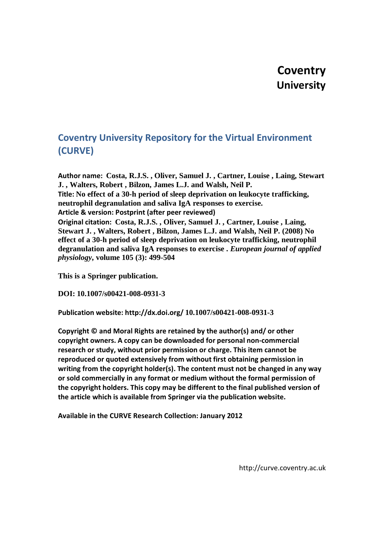# **Coventry University**

# **Coventry University Repository for the Virtual Environment (CURVE)**

**Author name: Costa, R.J.S. , Oliver, Samuel J. , Cartner, Louise , Laing, Stewart J. , Walters, Robert , Bilzon, James L.J. and Walsh, Neil P. Title: No effect of a 30-h period of sleep deprivation on leukocyte trafficking, neutrophil degranulation and saliva IgA responses to exercise. Article & version: Postprint (after peer reviewed) Original citation: Costa, R.J.S. , Oliver, Samuel J. , Cartner, Louise , Laing, Stewart J. , Walters, Robert , Bilzon, James L.J. and Walsh, Neil P. (2008) No effect of a 30-h period of sleep deprivation on leukocyte trafficking, neutrophil degranulation and saliva IgA responses to exercise .** *European journal of applied physiology***, volume 105 (3): 499-504**

**This is a Springer publication.**

**DOI: 10.1007/s00421-008-0931-3**

**Publication website: http://dx.doi.org/ 10.1007/s00421-008-0931-3**

**Copyright © and Moral Rights are retained by the author(s) and/ or other copyright owners. A copy can be downloaded for personal non-commercial research or study, without prior permission or charge. This item cannot be reproduced or quoted extensively from without first obtaining permission in writing from the copyright holder(s). The content must not be changed in any way or sold commercially in any format or medium without the formal permission of the copyright holders. This copy may be different to the final published version of the article which is available from Springer via the publication website.**

**Available in the CURVE Research Collection: January 2012**

http://curve.coventry.ac.uk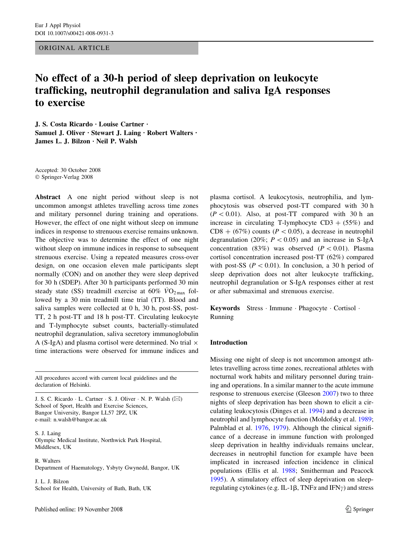ORIGINAL ARTICLE

# No effect of a 30-h period of sleep deprivation on leukocyte trafficking, neutrophil degranulation and saliva IgA responses to exercise

J. S. Costa Ricardo · Louise Cartner · Samuel J. Oliver · Stewart J. Laing · Robert Walters · James L. J. Bilzon · Neil P. Walsh

Accepted: 30 October 2008 Springer-Verlag 2008

Abstract A one night period without sleep is not uncommon amongst athletes travelling across time zones and military personnel during training and operations. However, the effect of one night without sleep on immune indices in response to strenuous exercise remains unknown. The objective was to determine the effect of one night without sleep on immune indices in response to subsequent strenuous exercise. Using a repeated measures cross-over design, on one occasion eleven male participants slept normally (CON) and on another they were sleep deprived for 30 h (SDEP). After 30 h participants performed 30 min steady state (SS) treadmill exercise at  $60\%$  VO<sub>2 max</sub> followed by a 30 min treadmill time trial (TT). Blood and saliva samples were collected at 0 h, 30 h, post-SS, post-TT, 2 h post-TT and 18 h post-TT. Circulating leukocyte and T-lymphocyte subset counts, bacterially-stimulated neutrophil degranulation, saliva secretory immunoglobulin A (S-IgA) and plasma cortisol were determined. No trial  $\times$ time interactions were observed for immune indices and

All procedures accord with current local guidelines and the declaration of Helsinki.

J. S. C. Ricardo  $\cdot$  L. Cartner  $\cdot$  S. J. Oliver  $\cdot$  N. P. Walsh ( $\boxtimes$ ) School of Sport, Health and Exercise Sciences, Bangor University, Bangor LL57 2PZ, UK e-mail: n.walsh@bangor.ac.uk

S. J. Laing Olympic Medical Institute, Northwick Park Hospital, Middlesex, UK

R. Walters Department of Haematology, Ysbyty Gwynedd, Bangor, UK

J. L. J. Bilzon School for Health, University of Bath, Bath, UK plasma cortisol. A leukocytosis, neutrophilia, and lymphocytosis was observed post-TT compared with 30 h  $(P<0.01)$ . Also, at post-TT compared with 30 h an increase in circulating T-lymphocyte  $CD3 + (55%)$  and  $CD8 + (67\%)$  counts ( $P < 0.05$ ), a decrease in neutrophil degranulation (20%;  $P \lt 0.05$ ) and an increase in S-IgA concentration (83%) was observed ( $P < 0.01$ ). Plasma cortisol concentration increased post-TT (62%) compared with post-SS ( $P < 0.01$ ). In conclusion, a 30 h period of sleep deprivation does not alter leukocyte trafficking, neutrophil degranulation or S-IgA responses either at rest or after submaximal and strenuous exercise.

Keywords Stress · Immune · Phagocyte · Cortisol · Running

# Introduction

Missing one night of sleep is not uncommon amongst athletes travelling across time zones, recreational athletes with nocturnal work habits and military personnel during training and operations. In a similar manner to the acute immune response to strenuous exercise (Gleeson [2007\)](#page-5-0) two to three nights of sleep deprivation has been shown to elicit a circulating leukocytosis (Dinges et al. [1994\)](#page-5-0) and a decrease in neutrophil and lymphocyte function (Moldofsky et al. [1989](#page-6-0); Palmblad et al. [1976](#page-6-0), [1979\)](#page-6-0). Although the clinical significance of a decrease in immune function with prolonged sleep deprivation in healthy individuals remains unclear, decreases in neutrophil function for example have been implicated in increased infection incidence in clinical populations (Ellis et al. [1988](#page-5-0); Smitherman and Peacock [1995](#page-6-0)). A stimulatory effect of sleep deprivation on sleepregulating cytokines (e.g. IL-1 $\beta$ , TNF $\alpha$  and IFN $\gamma$ ) and stress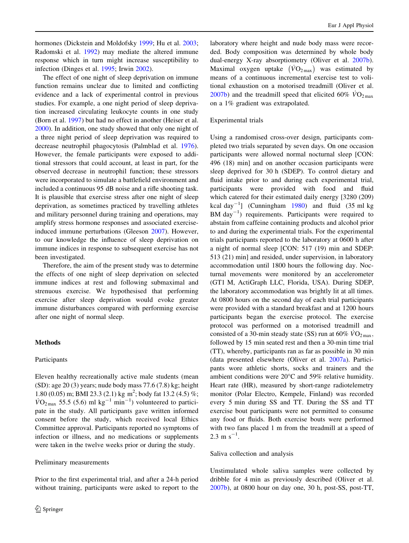hormones (Dickstein and Moldofsky [1999](#page-5-0); Hu et al. [2003](#page-5-0); Radomski et al. [1992\)](#page-6-0) may mediate the altered immune response which in turn might increase susceptibility to infection (Dinges et al. [1995](#page-5-0); Irwin [2002\)](#page-5-0).

The effect of one night of sleep deprivation on immune function remains unclear due to limited and conflicting evidence and a lack of experimental control in previous studies. For example, a one night period of sleep deprivation increased circulating leukocyte counts in one study (Born et al. [1997\)](#page-5-0) but had no effect in another (Heiser et al. [2000\)](#page-5-0). In addition, one study showed that only one night of a three night period of sleep deprivation was required to decrease neutrophil phagocytosis (Palmblad et al. [1976](#page-6-0)). However, the female participants were exposed to additional stressors that could account, at least in part, for the observed decrease in neutrophil function; these stressors were incorporated to simulate a battlefield environment and included a continuous 95 dB noise and a rifle shooting task. It is plausible that exercise stress after one night of sleep deprivation, as sometimes practiced by travelling athletes and military personnel during training and operations, may amplify stress hormone responses and associated exerciseinduced immune perturbations (Gleeson [2007](#page-5-0)). However, to our knowledge the influence of sleep deprivation on immune indices in response to subsequent exercise has not been investigated.

Therefore, the aim of the present study was to determine the effects of one night of sleep deprivation on selected immune indices at rest and following submaximal and strenuous exercise. We hypothesised that performing exercise after sleep deprivation would evoke greater immune disturbances compared with performing exercise after one night of normal sleep.

#### Methods

#### Participants

Eleven healthy recreationally active male students (mean (SD): age 20 (3) years; nude body mass 77.6 (7.8) kg; height 1.80 (0.05) m; BMI 23.3 (2.1) kg m<sup>2</sup>; body fat 13.2 (4.5) %;  $\dot{V}O_{2\,\text{max}}$  55.5 (5.6) ml kg<sup>-1</sup> min<sup>-1</sup>) volunteered to participate in the study. All participants gave written informed consent before the study, which received local Ethics Committee approval. Participants reported no symptoms of infection or illness, and no medications or supplements were taken in the twelve weeks prior or during the study.

#### Preliminary measurements

Prior to the first experimental trial, and after a 24-h period without training, participants were asked to report to the laboratory where height and nude body mass were recorded. Body composition was determined by whole body dual-energy X-ray absorptiometry (Oliver et al. [2007b](#page-6-0)). Maximal oxygen uptake  $(\dot{V}O_{2\text{ max}})$  was estimated by means of a continuous incremental exercise test to volitional exhaustion on a motorised treadmill (Oliver et al. [2007b](#page-6-0)) and the treadmill speed that elicited 60%  $\dot{V}O_{2 \text{ max}}$ on a 1% gradient was extrapolated.

### Experimental trials

Using a randomised cross-over design, participants completed two trials separated by seven days. On one occasion participants were allowed normal nocturnal sleep [CON: 496 (18) min] and on another occasion participants were sleep deprived for 30 h (SDEP). To control dietary and fluid intake prior to and during each experimental trial, participants were provided with food and fluid which catered for their estimated daily energy [3280 (209) kcal day<sup>-1</sup>] (Cunningham [1980](#page-5-0)) and fluid (35 ml kg BM day $^{-1}$ ) requirements. Participants were required to abstain from caffeine containing products and alcohol prior to and during the experimental trials. For the experimental trials participants reported to the laboratory at 0600 h after a night of normal sleep [CON: 517 (19) min and SDEP: 513 (21) min] and resided, under supervision, in laboratory accommodation until 1800 hours the following day. Nocturnal movements were monitored by an accelerometer (GT1 M, ActiGraph LLC, Florida, USA). During SDEP, the laboratory accommodation was brightly lit at all times. At 0800 hours on the second day of each trial participants were provided with a standard breakfast and at 1200 hours participants began the exercise protocol. The exercise protocol was performed on a motorised treadmill and consisted of a 30-min steady state (SS) run at 60%  $\dot{V}O_{2\text{max}}$ , followed by 15 min seated rest and then a 30-min time trial (TT), whereby, participants ran as far as possible in 30 min (data presented elsewhere (Oliver et al. [2007a](#page-6-0)). Participants wore athletic shorts, socks and trainers and the ambient conditions were  $20^{\circ}$ C and 59% relative humidity. Heart rate (HR), measured by short-range radiotelemetry monitor (Polar Electro, Kempele, Finland) was recorded every 5 min during SS and TT. During the SS and TT exercise bout participants were not permitted to consume any food or fluids. Both exercise bouts were performed with two fans placed 1 m from the treadmill at a speed of  $2.3 \text{ m s}^{-1}$ .

#### Saliva collection and analysis

Unstimulated whole saliva samples were collected by dribble for 4 min as previously described (Oliver et al. [2007b](#page-6-0)), at 0800 hour on day one, 30 h, post-SS, post-TT,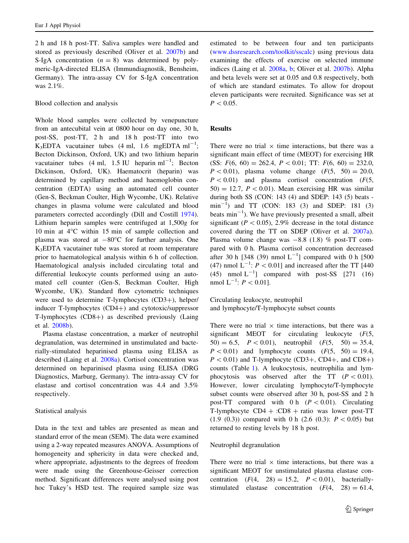2 h and 18 h post-TT. Saliva samples were handled and stored as previously described (Oliver et al. [2007b\)](#page-6-0) and S-IgA concentration  $(n = 8)$  was determined by polymeric-IgA-directed ELISA (Immundiagnostik, Bensheim, Germany). The intra-assay CV for S-IgA concentration was 2.1%.

Blood collection and analysis

Whole blood samples were collected by venepuncture from an antecubital vein at 0800 hour on day one, 30 h, post-SS, post-TT, 2 h and 18 h post-TT into two  $K_3$ EDTA vacutainer tubes (4 ml, 1.6 mgEDTA ml<sup>-1</sup>; Becton Dickinson, Oxford, UK) and two lithium heparin vacutainer tubes  $(4 \text{ ml}, 1.5 \text{ IU} \text{ heparin ml}^{-1})$ ; Becton Dickinson, Oxford, UK). Haematocrit (heparin) was determined by capillary method and haemoglobin concentration (EDTA) using an automated cell counter (Gen-S, Beckman Coulter, High Wycombe, UK). Relative changes in plasma volume were calculated and blood parameters corrected accordingly (Dill and Costill [1974](#page-5-0)). Lithium heparin samples were centrifuged at 1,500g for 10 min at  $4^{\circ}$ C within 15 min of sample collection and plasma was stored at  $-80^{\circ}$ C for further analysis. One K3EDTA vacutainer tube was stored at room temperature prior to haematological analysis within 6 h of collection. Haematological analysis included circulating total and differential leukocyte counts performed using an automated cell counter (Gen-S, Beckman Coulter, High Wycombe, UK). Standard flow cytometric techniques were used to determine T-lymphocytes (CD3+), helper/ inducer  $T$ -lymphocytes  $(CD4+)$  and cytotoxic/suppressor T-lymphocytes  $(CD8+)$  as described previously (Laing et al. [2008b](#page-6-0)).

Plasma elastase concentration, a marker of neutrophil degranulation, was determined in unstimulated and bacterially-stimulated heparinised plasma using ELISA as described (Laing et al. [2008a\)](#page-6-0). Cortisol concentration was determined on heparinised plasma using ELISA (DRG Diagnostics, Marburg, Germany). The intra-assay CV for elastase and cortisol concentration was 4.4 and 3.5% respectively.

# Statistical analysis

Data in the text and tables are presented as mean and standard error of the mean (SEM). The data were examined using a 2-way repeated measures ANOVA. Assumptions of homogeneity and sphericity in data were checked and, where appropriate, adjustments to the degrees of freedom were made using the Greenhouse-Geisser correction method. Significant differences were analysed using post hoc Tukey's HSD test. The required sample size was

estimated to be between four and ten participants [\(www.dssresearch.com/toolkit/sscalc](http://www.dssresearch.com/toolkit/sscalc)) using previous data examining the effects of exercise on selected immune indices (Laing et al. [2008a](#page-6-0), [b;](#page-6-0) Oliver et al. [2007b\)](#page-6-0). Alpha and beta levels were set at 0.05 and 0.8 respectively, both of which are standard estimates. To allow for dropout eleven participants were recruited. Significance was set at  $P < 0.05$ .

# Results

There were no trial  $\times$  time interactions, but there was a significant main effect of time (MEOT) for exercising HR (SS:  $F(6, 60) = 262.4, P < 0.01$ ; TT:  $F(6, 60) = 232.0$ ,  $P < 0.01$ ), plasma volume change  $(F(5, 50) = 20.0,$  $P < 0.01$ ) and plasma cortisol concentration (F(5,  $50 = 12.7$ ,  $P < 0.01$ ). Mean exercising HR was similar during both SS (CON: 143 (4) and SDEP: 143 (5) beats  $min^{-1}$ ) and TT (CON: 183 (3) and SDEP: 181 (3) beats  $min^{-1}$ ). We have previously presented a small, albeit significant ( $P < 0.05$ ), 2.9% decrease in the total distance covered during the TT on SDEP (Oliver et al. [2007a](#page-6-0)). Plasma volume change was  $-8.8$  (1.8) % post-TT compared with 0 h. Plasma cortisol concentration decreased after 30 h [348 (39) nmol  $L^{-1}$ ] compared with 0 h [500 (47) nmol  $L^{-1}$ :  $P < 0.01$ ] and increased after the TT [440] (45) nmol  $L^{-1}$ ] compared with post-SS [271 (16) nmol  $L^{-1}$ :  $P < 0.01$ ].

Circulating leukocyte, neutrophil and lymphocyte/T-lymphocyte subset counts

There were no trial  $\times$  time interactions, but there was a significant MEOT for circulating leukocyte  $(F(5,$  $50) = 6.5$ ,  $P < 0.01$ ), neutrophil  $(F(5, 50) = 35.4,$  $P < 0.01$ ) and lymphocyte counts  $(F(5, 50) = 19.4,$  $P < 0.01$ ) and T-lymphocyte (CD3+, CD4+, and CD8+) counts (Table [1\)](#page-4-0). A leukocytosis, neutrophilia and lymphocytosis was observed after the TT  $(P < 0.01)$ . However, lower circulating lymphocyte/T-lymphocyte subset counts were observed after 30 h, post-SS and 2 h post-TT compared with 0 h  $(P<0.01)$ . Circulating T-lymphocyte  $CD4 + :CD8 +$  ratio was lower post-TT (1.9 (0.3)) compared with 0 h (2.6 (0.3):  $P < 0.05$ ) but returned to resting levels by 18 h post.

# Neutrophil degranulation

There were no trial  $\times$  time interactions, but there was a significant MEOT for unstimulated plasma elastase concentration  $(F(4, 28) = 15.2, P < 0.01)$ , bacteriallystimulated elastase concentration  $(F(4, 28) = 61.4,$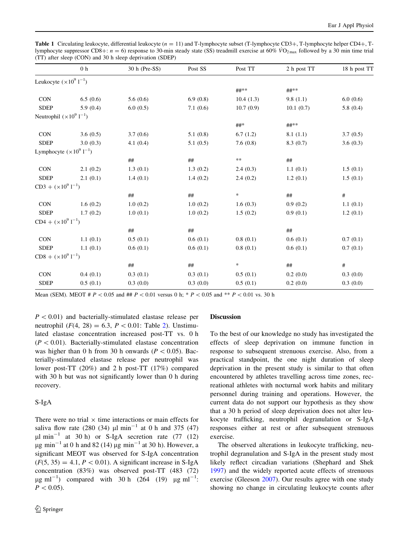<span id="page-4-0"></span>Table 1 Circulating leukocyte, differential leukocyte  $(n = 11)$  and T-lymphocyte subset (T-lymphocyte CD3+, T-lymphocyte helper CD4+, Tlymphocyte suppressor CD8+:  $n = 6$ ) response to 30-min steady state (SS) treadmill exercise at 60%  $VO_{2\text{ max}}$  followed by a 30 min time trial (TT) after sleep (CON) and 30 h sleep deprivation (SDEP)

|                                             | 0 <sub>h</sub> | 30 h (Pre-SS) | Post SS  | Post TT    | 2 h post TT | 18 h post TT |
|---------------------------------------------|----------------|---------------|----------|------------|-------------|--------------|
| Leukocyte $(\times 10^9$ l <sup>-1</sup> )  |                |               |          |            |             |              |
|                                             |                |               |          | ##**       | ##**        |              |
| <b>CON</b>                                  | 6.5(0.6)       | 5.6(0.6)      | 6.9(0.8) | 10.4(1.3)  | 9.8(1.1)    | 6.0(0.6)     |
| <b>SDEP</b>                                 | 5.9(0.4)       | 6.0(0.5)      | 7.1(0.6) | 10.7(0.9)  | 10.1(0.7)   | 5.8(0.4)     |
| Neutrophil $(\times 10^9$ 1 <sup>-1</sup> ) |                |               |          |            |             |              |
|                                             |                |               |          | ##*        | ##**        |              |
| <b>CON</b>                                  | 3.6(0.5)       | 3.7(0.6)      | 5.1(0.8) | 6.7(1.2)   | 8.1(1.1)    | 3.7(0.5)     |
| <b>SDEP</b>                                 | 3.0(0.3)       | 4.1(0.4)      | 5.1(0.5) | 7.6(0.8)   | 8.3(0.7)    | 3.6(0.3)     |
| Lymphocyte $(\times 10^9$ l <sup>-1</sup> ) |                |               |          |            |             |              |
|                                             |                | #             | $\# \#$  | $\ast\ast$ | $\# \#$     |              |
| <b>CON</b>                                  | 2.1(0.2)       | 1.3(0.1)      | 1.3(0.2) | 2.4(0.3)   | 1.1(0.1)    | 1.5(0.1)     |
| <b>SDEP</b>                                 | 2.1(0.1)       | 1.4(0.1)      | 1.4(0.2) | 2.4(0.2)   | 1.2(0.1)    | 1.5(0.1)     |
| $CD3 + (x1091-1)$                           |                |               |          |            |             |              |
|                                             |                | $\# \#$       | $\# \#$  | $\ast$     | $\# \#$     | $\#$         |
| <b>CON</b>                                  | 1.6(0.2)       | 1.0(0.2)      | 1.0(0.2) | 1.6(0.3)   | 0.9(0.2)    | 1.1(0.1)     |
| <b>SDEP</b>                                 | 1.7(0.2)       | 1.0(0.1)      | 1.0(0.2) | 1.5(0.2)   | 0.9(0.1)    | 1.2(0.1)     |
| $CD4 + (x1091-1)$                           |                |               |          |            |             |              |
|                                             |                | #             | ##       |            | ##          |              |
| <b>CON</b>                                  | 1.1(0.1)       | 0.5(0.1)      | 0.6(0.1) | 0.8(0.1)   | 0.6(0.1)    | 0.7(0.1)     |
| <b>SDEP</b>                                 | 1.1(0.1)       | 0.6(0.1)      | 0.6(0.1) | 0.8(0.1)   | 0.6(0.1)    | 0.7(0.1)     |
| $CDS + (x1091-1)$                           |                |               |          |            |             |              |
|                                             |                | #             | ##       | *          | ##          | $\#$         |
| <b>CON</b>                                  | 0.4(0.1)       | 0.3(0.1)      | 0.3(0.1) | 0.5(0.1)   | 0.2(0.0)    | 0.3(0.0)     |
| <b>SDEP</b>                                 | 0.5(0.1)       | 0.3(0.0)      | 0.3(0.0) | 0.5(0.1)   | 0.2(0.0)    | 0.3(0.0)     |

Mean (SEM). MEOT #  $P < 0.05$  and ##  $P < 0.01$  versus 0 h; \*  $P < 0.05$  and \*\*  $P < 0.01$  vs. 30 h

 $P < 0.01$ ) and bacterially-stimulated elastase release per neutrophil  $(F(4, 28) = 6.3, P < 0.01$ : Table [2\)](#page-5-0). Unstimulated elastase concentration increased post-TT vs. 0 h  $(P < 0.01)$ . Bacterially-stimulated elastase concentration was higher than 0 h from 30 h onwards ( $P \lt 0.05$ ). Bacterially-stimulated elastase release per neutrophil was lower post-TT (20%) and 2 h post-TT (17%) compared with 30 h but was not significantly lower than 0 h during recovery.

# S-IgA

There were no trial  $\times$  time interactions or main effects for saliva flow rate (280 (34)  $\mu$ l min<sup>-1</sup> at 0 h and 375 (47)  $\mu$ l min<sup>-1</sup> at 30 h) or S-IgA secretion rate (77 (12)  $\mu$ g min<sup>-1</sup> at 0 h and 82 (14)  $\mu$ g min<sup>-1</sup> at 30 h). However, a significant MEOT was observed for S-IgA concentration  $(F(5, 35) = 4.1, P < 0.01)$ . A significant increase in S-IgA concentration (83%) was observed post-TT (483 (72)  $\mu$ g ml<sup>-1</sup>) compared with 30 h (264 (19)  $\mu$ g ml<sup>-1</sup>:  $P < 0.05$ ).

# Discussion

To the best of our knowledge no study has investigated the effects of sleep deprivation on immune function in response to subsequent strenuous exercise. Also, from a practical standpoint, the one night duration of sleep deprivation in the present study is similar to that often encountered by athletes travelling across time zones, recreational athletes with nocturnal work habits and military personnel during training and operations. However, the current data do not support our hypothesis as they show that a 30 h period of sleep deprivation does not alter leukocyte trafficking, neutrophil degranulation or S-IgA responses either at rest or after subsequent strenuous exercise.

The observed alterations in leukocyte trafficking, neutrophil degranulation and S-IgA in the present study most likely reflect circadian variations (Shephard and Shek [1997](#page-6-0)) and the widely reported acute effects of strenuous exercise (Gleeson [2007\)](#page-5-0). Our results agree with one study showing no change in circulating leukocyte counts after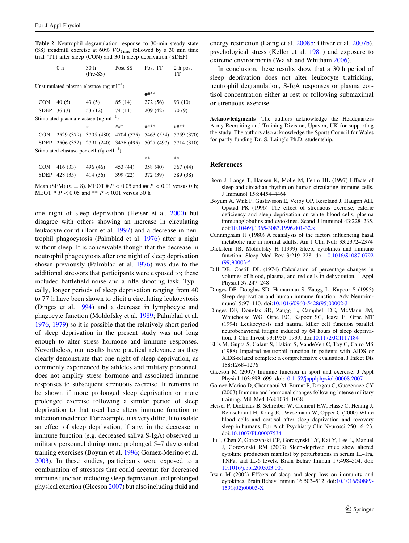<span id="page-5-0"></span>Table 2 Neutrophil degranulation response to 30-min steady state (SS) treadmill exercise at 60%  $\overline{VO}_{2\text{ max}}$  followed by a 30 min time trial (TT) after sleep (CON) and 30 h sleep deprivation (SDEP)

|                                                       | 0 <sub>h</sub> | 30 <sub>h</sub><br>$(Pre-SS)$                 | Post SS                               | Post TT  | 2 h post<br>TT        |  |  |  |  |
|-------------------------------------------------------|----------------|-----------------------------------------------|---------------------------------------|----------|-----------------------|--|--|--|--|
|                                                       |                | Unstimulated plasma elastase (ng m $l^{-1}$ ) |                                       |          |                       |  |  |  |  |
|                                                       |                |                                               |                                       | ##**     |                       |  |  |  |  |
| <b>CON</b>                                            | 40(5)          | 43(5)                                         | 85 (14)                               | 272 (56) | 93 (10)               |  |  |  |  |
|                                                       | SDEP $36(3)$   | 53 (12)                                       | 74 (11)                               | 209(42)  | 70(9)                 |  |  |  |  |
| Stimulated plasma elastase (ng m $l^{-1}$ )           |                |                                               |                                       |          |                       |  |  |  |  |
|                                                       |                | #                                             | ##*                                   | ##**     | ##**                  |  |  |  |  |
| <b>CON</b>                                            |                |                                               | 2529 (379) 3705 (480) 4704 (575)      |          | 5463 (554) 5759 (370) |  |  |  |  |
|                                                       |                |                                               | SDEP 2506 (332) 2791 (240) 3476 (495) |          | 5027 (497) 5714 (310) |  |  |  |  |
| Stimulated elastase per cell (fg cell <sup>-1</sup> ) |                |                                               |                                       |          |                       |  |  |  |  |
|                                                       |                |                                               |                                       | **       | **                    |  |  |  |  |
| <b>CON</b>                                            | 416 (33)       | 496 (46)                                      | 453 (44)                              | 358 (40) | 367(44)               |  |  |  |  |
| <b>SDEP</b>                                           | 428 (35)       | 414 (36)                                      | 399 (22)                              | 372 (39) | 389 (38)              |  |  |  |  |

Mean (SEM) ( $n = 8$ ). MEOT #  $P < 0.05$  and ##  $P < 0.01$  versus 0 h; MEOT  $*$  P < 0.05 and  $*$  P < 0.01 versus 30 h

one night of sleep deprivation (Heiser et al. 2000) but disagree with others showing an increase in circulating leukocyte count (Born et al. 1997) and a decrease in neutrophil phagocytosis (Palmblad et al. [1976](#page-6-0)) after a night without sleep. It is conceivable though that the decrease in neutrophil phagocytosis after one night of sleep deprivation shown previously (Palmblad et al. [1976\)](#page-6-0) was due to the additional stressors that participants were exposed to; these included battlefield noise and a rifle shooting task. Typically, longer periods of sleep deprivation ranging from 40 to 77 h have been shown to elicit a circulating leukocytosis (Dinges et al. 1994) and a decrease in lymphocyte and phagocyte function (Moldofsky et al. [1989](#page-6-0); Palmblad et al. [1976,](#page-6-0) [1979](#page-6-0)) so it is possible that the relatively short period of sleep deprivation in the present study was not long enough to alter stress hormone and immune responses. Nevertheless, our results have practical relevance as they clearly demonstrate that one night of sleep deprivation, as commonly experienced by athletes and military personnel, does not amplify stress hormone and associated immune responses to subsequent strenuous exercise. It remains to be shown if more prolonged sleep deprivation or more prolonged exercise following a similar period of sleep deprivation to that used here alters immune function or infection incidence. For example, it is very difficult to isolate an effect of sleep deprivation, if any, in the decrease in immune function (e.g. decreased saliva S-IgA) observed in military personnel during more prolonged 5–7 day combat training exercises (Boyum et al. 1996; Gomez-Merino et al. 2003). In these studies, participants were exposed to a combination of stressors that could account for decreased immune function including sleep deprivation and prolonged physical exertion (Gleeson 2007) but also including fluid and

energy restriction (Laing et al. [2008b;](#page-6-0) Oliver et al. [2007b](#page-6-0)), psychological stress (Keller et al. [1981](#page-6-0)) and exposure to extreme environments (Walsh and Whitham [2006](#page-6-0)).

In conclusion, these results show that a 30 h period of sleep deprivation does not alter leukocyte trafficking, neutrophil degranulation, S-IgA responses or plasma cortisol concentration either at rest or following submaximal or strenuous exercise.

Acknowledgments The authors acknowledge the Headquarters Army Recruiting and Training Division, Upavon, UK for supporting the study. The authors also acknowledge the Sports Council for Wales for partly funding Dr. S. Laing's Ph.D. studentship.

#### References

- Born J, Lange T, Hansen K, Molle M, Fehm HL (1997) Effects of sleep and circadian rhythm on human circulating immune cells. J Immunol 158:4454–4464
- Boyum A, Wiik P, Gustavsson E, Veiby OP, Reseland J, Haugen AH, Opstad PK (1996) The effect of strenuous exercise, calorie deficiency and sleep deprivation on white blood cells, plasma immunoglobulins and cytokines. Scand J Immunol 43:228–235. doi[:10.1046/j.1365-3083.1996.d01-32.x](http://dx.doi.org/10.1046/j.1365-3083.1996.d01-32.x)
- Cunningham JJ (1980) A reanalysis of the factors influencing basal metabolic rate in normal adults. Am J Clin Nutr 33:2372–2374
- Dickstein JB, Moldofsky H (1999) Sleep, cytokines and immune function. Sleep Med Rev 3:219–228. doi:[10.1016/S1087-0792](http://dx.doi.org/10.1016/S1087-0792(99)90003-5) [\(99\)90003-5](http://dx.doi.org/10.1016/S1087-0792(99)90003-5)
- Dill DB, Costill DL (1974) Calculation of percentage changes in volumes of blood, plasma, and red cells in dehydration. J Appl Physiol 37:247–248
- Dinges DF, Douglas SD, Hamarman S, Zaugg L, Kapoor S (1995) Sleep deprivation and human immune function. Adv Neuroimmunol 5:97–110. doi:[10.1016/0960-5428\(95\)00002-J](http://dx.doi.org/10.1016/0960-5428(95)00002-J)
- Dinges DF, Douglas SD, Zaugg L, Campbell DE, McMann JM, Whitehouse WG, Orne EC, Kapoor SC, Icaza E, Orne MT (1994) Leukocytosis and natural killer cell function parallel neurobehavioral fatigue induced by 64 hours of sleep deprivation. J Clin Invest 93:1930–1939. doi:[10.1172/JCI117184](http://dx.doi.org/10.1172/JCI117184)
- Ellis M, Gupta S, Galant S, Hakim S, VandeVen C, Toy C, Cairo MS (1988) Impaired neutrophil function in patients with AIDS or AIDS-related complex: a comprehensive evaluation. J Infect Dis 158:1268–1276
- Gleeson M (2007) Immune function in sport and exercise. J Appl Physiol 103:693–699. doi[:10.1152/japplphysiol.00008.2007](http://dx.doi.org/10.1152/japplphysiol.00008.2007)
- Gomez-Merino D, Chennaoui M, Burnat P, Drogou C, Guezennec CY (2003) Immune and hormonal changes following intense military training. Mil Med 168:1034–1038
- Heiser P, Dickhaus B, Schreiber W, Clement HW, Hasse C, Hennig J, Remschmidt H, Krieg JC, Wesemann W, Opper C (2000) White blood cells and cortisol after sleep deprivation and recovery sleep in humans. Eur Arch Psychiatry Clin Neurosci 250:16–23. doi[:10.1007/PL00007534](http://dx.doi.org/10.1007/PL00007534)
- Hu J, Chen Z, Gorczynski CP, Gorczynski LY, Kai Y, Lee L, Manuel J, Gorczynski RM (2003) Sleep-deprived mice show altered cytokine production manifest by perturbations in serum IL–1ra, TNFa, and IL-6 levels. Brain Behav Immun 17:498–504. doi: [10.1016/j.bbi.2003.03.001](http://dx.doi.org/10.1016/j.bbi.2003.03.001)
- Irwin M (2002) Effects of sleep and sleep loss on immunity and cytokines. Brain Behav Immun 16:503–512. doi:[10.1016/S0889-](http://dx.doi.org/10.1016/S0889-1591(02)00003-X) [1591\(02\)00003-X](http://dx.doi.org/10.1016/S0889-1591(02)00003-X)